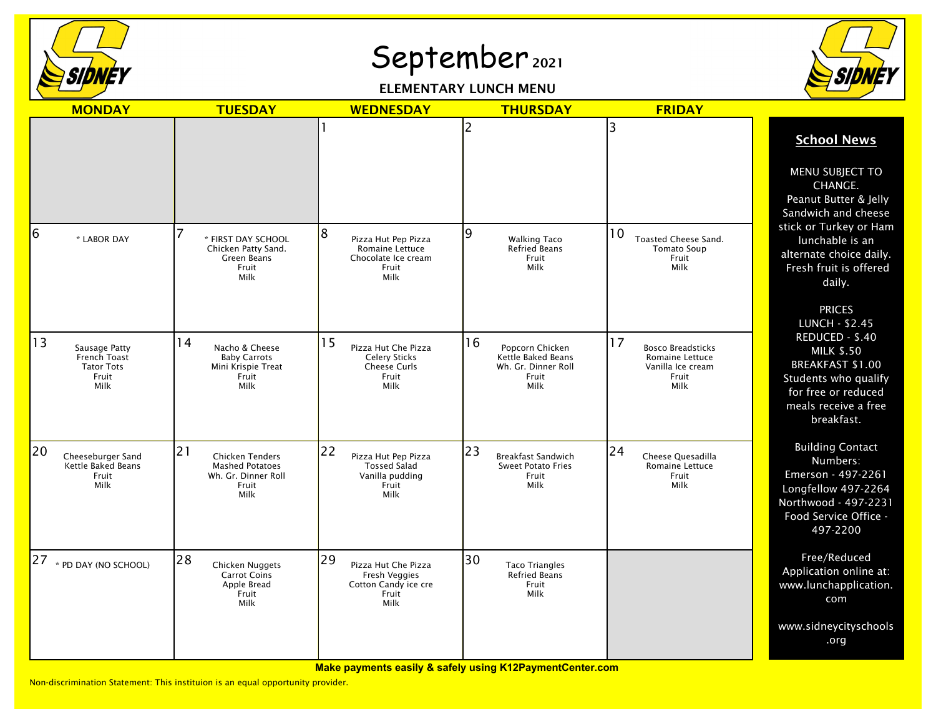

## September 2021

ELEMENTARY LUNCH MENU



| <b>MONDAY</b>                                                                    | <b>TUESDAY</b>                                                                                 | <b>WEDNESDAY</b>                                                                     | <b>THURSDAY</b>                                                                     | <b>FRIDAY</b>                                                                           |                                                                                                                                                                                                                                                                                                                                                                                          |
|----------------------------------------------------------------------------------|------------------------------------------------------------------------------------------------|--------------------------------------------------------------------------------------|-------------------------------------------------------------------------------------|-----------------------------------------------------------------------------------------|------------------------------------------------------------------------------------------------------------------------------------------------------------------------------------------------------------------------------------------------------------------------------------------------------------------------------------------------------------------------------------------|
|                                                                                  |                                                                                                |                                                                                      | 2                                                                                   | 3                                                                                       | <b>School News</b>                                                                                                                                                                                                                                                                                                                                                                       |
| 6                                                                                |                                                                                                | 8                                                                                    | 9                                                                                   | 10                                                                                      | MENU SUBJECT TO<br>CHANGE.<br>Peanut Butter & Jelly<br>Sandwich and cheese<br>stick or Turkey or Ham<br>lunchable is an<br>alternate choice daily.<br>Fresh fruit is offered<br>daily.<br><b>PRICES</b><br><b>LUNCH - \$2.45</b><br>REDUCED - \$.40<br><b>MILK \$.50</b><br><b>BREAKFAST \$1.00</b><br>Students who qualify<br>for free or reduced<br>meals receive a free<br>breakfast. |
| * LABOR DAY                                                                      | * FIRST DAY SCHOOL<br>Chicken Patty Sand.<br>Green Beans<br>Fruit<br>Milk                      | Pizza Hut Pep Pizza<br>Romaine Lettuce<br>Chocolate Ice cream<br>Fruit<br>Milk       | <b>Walking Taco</b><br><b>Refried Beans</b><br>Fruit<br>Milk                        | Toasted Cheese Sand.<br>Tomato Soup<br>Fruit<br>Milk                                    |                                                                                                                                                                                                                                                                                                                                                                                          |
| 13<br>Sausage Patty<br>French Toast<br><b>Tator Tots</b><br>Fruit<br><b>Milk</b> | 14<br>Nacho & Cheese<br><b>Baby Carrots</b><br>Mini Krispie Treat<br>Fruit<br>Milk             | 15<br>Pizza Hut Che Pizza<br><b>Celery Sticks</b><br>Cheese Curls<br>Fruit<br>Milk   | 16<br>Popcorn Chicken<br>Kettle Baked Beans<br>Wh. Gr. Dinner Roll<br>Fruit<br>Milk | 17<br><b>Bosco Breadsticks</b><br>Romaine Lettuce<br>Vanilla Ice cream<br>Fruit<br>Milk |                                                                                                                                                                                                                                                                                                                                                                                          |
| 20<br>Cheeseburger Sand<br>Kettle Baked Beans<br>Fruit<br>Milk                   | 21<br><b>Chicken Tenders</b><br><b>Mashed Potatoes</b><br>Wh. Gr. Dinner Roll<br>Fruit<br>Milk | 22<br>Pizza Hut Pep Pizza<br><b>Tossed Salad</b><br>Vanilla pudding<br>Fruit<br>Milk | 23<br><b>Breakfast Sandwich</b><br><b>Sweet Potato Fries</b><br>Fruit<br>Milk       | 24<br>Cheese Quesadilla<br>Romaine Lettuce<br>Fruit<br>Milk                             | <b>Building Contact</b><br>Numbers:<br>Emerson - 497-2261<br>Longfellow 497-2264<br>Northwood - 497-2231<br>Food Service Office -<br>497-2200                                                                                                                                                                                                                                            |
| $ 27 $ * PD DAY (NO SCHOOL)                                                      | 28<br>Chicken Nuggets<br><b>Carrot Coins</b><br>Apple Bread<br>Fruit<br>Milk                   | 29<br>Pizza Hut Che Pizza<br>Fresh Veggies<br>Cotton Candy ice cre<br>Fruit<br>Milk  | 30<br><b>Taco Triangles</b><br><b>Refried Beans</b><br>Fruit<br>Milk                |                                                                                         | Free/Reduced<br>Application online at:<br>www.lunchapplication.<br>com                                                                                                                                                                                                                                                                                                                   |
|                                                                                  |                                                                                                |                                                                                      |                                                                                     |                                                                                         | www.sidneycityschools<br>.org                                                                                                                                                                                                                                                                                                                                                            |

Non-discrimination Statement: This instituion is an equal opportunity provider.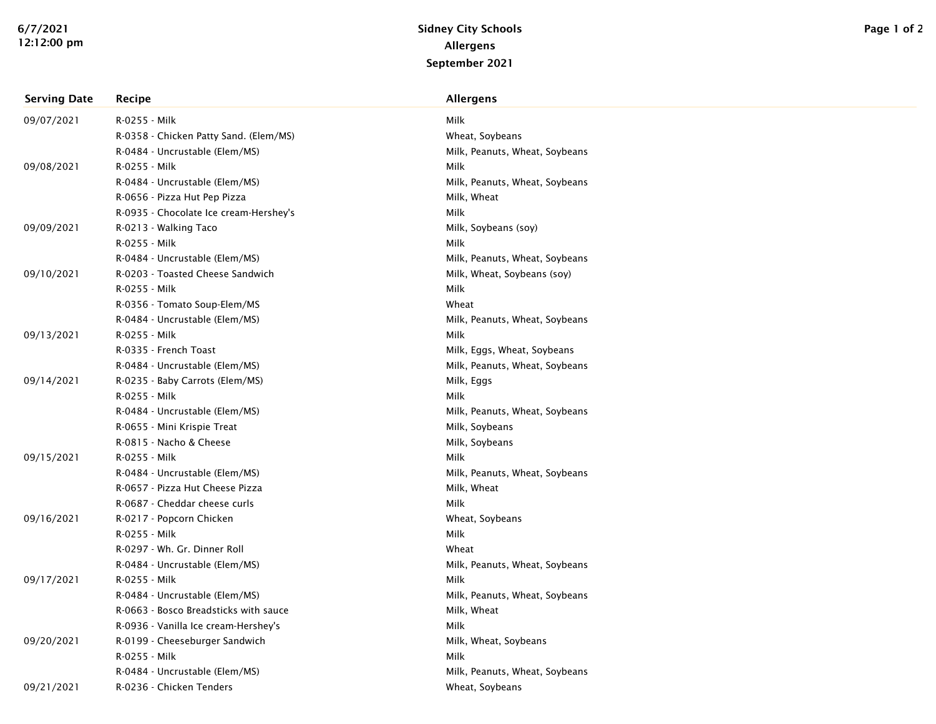| <b>Serving Date</b> | Recipe                                 | <b>Allergens</b>               |
|---------------------|----------------------------------------|--------------------------------|
| 09/07/2021          | R-0255 - Milk                          | Milk                           |
|                     | R-0358 - Chicken Patty Sand. (Elem/MS) | Wheat, Soybeans                |
|                     | R-0484 - Uncrustable (Elem/MS)         | Milk, Peanuts, Wheat, Soybeans |
| 09/08/2021          | R-0255 - Milk                          | Milk                           |
|                     | R-0484 - Uncrustable (Elem/MS)         | Milk, Peanuts, Wheat, Soybeans |
|                     | R-0656 - Pizza Hut Pep Pizza           | Milk, Wheat                    |
|                     | R-0935 - Chocolate Ice cream-Hershey's | Milk                           |
| 09/09/2021          | R-0213 - Walking Taco                  | Milk, Soybeans (soy)           |
|                     | R-0255 - Milk                          | Milk                           |
|                     | R-0484 - Uncrustable (Elem/MS)         | Milk, Peanuts, Wheat, Soybeans |
| 09/10/2021          | R-0203 - Toasted Cheese Sandwich       | Milk, Wheat, Soybeans (soy)    |
|                     | R-0255 - Milk                          | Milk                           |
|                     | R-0356 - Tomato Soup-Elem/MS           | Wheat                          |
|                     | R-0484 - Uncrustable (Elem/MS)         | Milk, Peanuts, Wheat, Soybeans |
| 09/13/2021          | R-0255 - Milk                          | Milk                           |
|                     | R-0335 - French Toast                  | Milk, Eggs, Wheat, Soybeans    |
|                     | R-0484 - Uncrustable (Elem/MS)         | Milk, Peanuts, Wheat, Soybeans |
| 09/14/2021          | R-0235 - Baby Carrots (Elem/MS)        | Milk, Eggs                     |
|                     | R-0255 - Milk                          | Milk                           |
|                     | R-0484 - Uncrustable (Elem/MS)         | Milk, Peanuts, Wheat, Soybeans |
|                     | R-0655 - Mini Krispie Treat            | Milk, Soybeans                 |
|                     | R-0815 - Nacho & Cheese                | Milk, Soybeans                 |
| 09/15/2021          | R-0255 - Milk                          | Milk                           |
|                     | R-0484 - Uncrustable (Elem/MS)         | Milk, Peanuts, Wheat, Soybeans |
|                     | R-0657 - Pizza Hut Cheese Pizza        | Milk, Wheat                    |
|                     | R-0687 - Cheddar cheese curls          | Milk                           |
| 09/16/2021          | R-0217 - Popcorn Chicken               | Wheat, Soybeans                |
|                     | R-0255 - Milk                          | Milk                           |
|                     | R-0297 - Wh. Gr. Dinner Roll           | Wheat                          |
|                     | R-0484 - Uncrustable (Elem/MS)         | Milk, Peanuts, Wheat, Soybeans |
| 09/17/2021          | R-0255 - Milk                          | Milk                           |
|                     | R-0484 - Uncrustable (Elem/MS)         | Milk, Peanuts, Wheat, Soybeans |
|                     | R-0663 - Bosco Breadsticks with sauce  | Milk, Wheat                    |
|                     | R-0936 - Vanilla Ice cream-Hershey's   | Milk                           |
| 09/20/2021          | R-0199 - Cheeseburger Sandwich         | Milk, Wheat, Soybeans          |
|                     | R-0255 - Milk                          | Milk                           |
|                     | R-0484 - Uncrustable (Elem/MS)         | Milk, Peanuts, Wheat, Soybeans |
| 09/21/2021          | R-0236 - Chicken Tenders               | Wheat, Soybeans                |